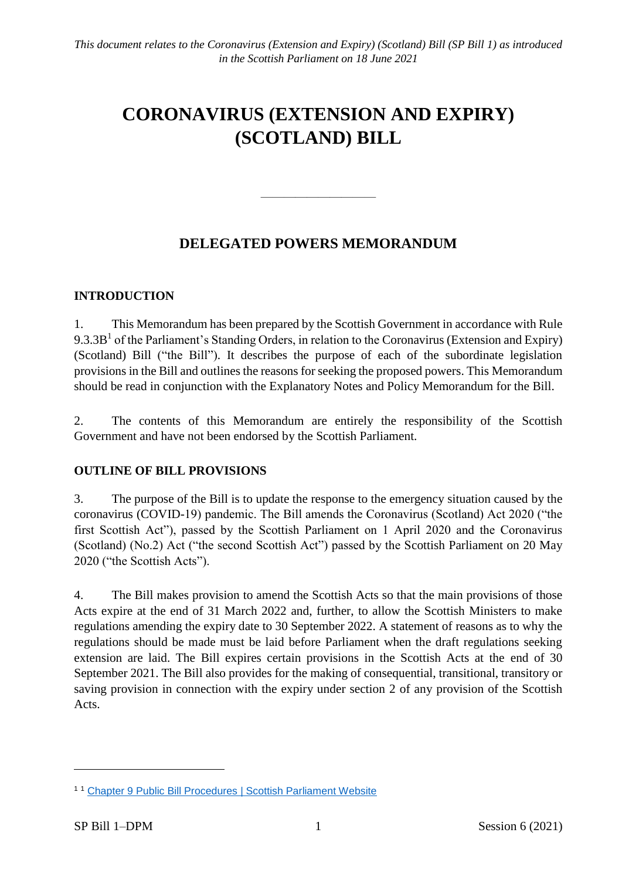# **CORONAVIRUS (EXTENSION AND EXPIRY) (SCOTLAND) BILL**

# **DELEGATED POWERS MEMORANDUM**

————————————————————

# **INTRODUCTION**

1. This Memorandum has been prepared by the Scottish Government in accordance with Rule  $9.3.3B<sup>1</sup>$  of the Parliament's Standing Orders, in relation to the Coronavirus (Extension and Expiry) (Scotland) Bill ("the Bill"). It describes the purpose of each of the subordinate legislation provisions in the Bill and outlines the reasons for seeking the proposed powers. This Memorandum should be read in conjunction with the Explanatory Notes and Policy Memorandum for the Bill.

2. The contents of this Memorandum are entirely the responsibility of the Scottish Government and have not been endorsed by the Scottish Parliament.

# **OUTLINE OF BILL PROVISIONS**

3. The purpose of the Bill is to update the response to the emergency situation caused by the coronavirus (COVID-19) pandemic. The Bill amends the Coronavirus (Scotland) Act 2020 ("the first Scottish Act"), passed by the Scottish Parliament on 1 April 2020 and the Coronavirus (Scotland) (No.2) Act ("the second Scottish Act") passed by the Scottish Parliament on 20 May 2020 ("the Scottish Acts").

4. The Bill makes provision to amend the Scottish Acts so that the main provisions of those Acts expire at the end of 31 March 2022 and, further, to allow the Scottish Ministers to make regulations amending the expiry date to 30 September 2022. A statement of reasons as to why the regulations should be made must be laid before Parliament when the draft regulations seeking extension are laid. The Bill expires certain provisions in the Scottish Acts at the end of 30 September 2021. The Bill also provides for the making of consequential, transitional, transitory or saving provision in connection with the expiry under section 2 of any provision of the Scottish Acts.

 $\overline{a}$ 

<sup>11</sup> [Chapter 9 Public Bill Procedures | Scottish Parliament Website](https://www.parliament.scot/about/how-parliament-works/parliament-rules-and-guidance/standing-orders/chapter-9-public-bill-procedures)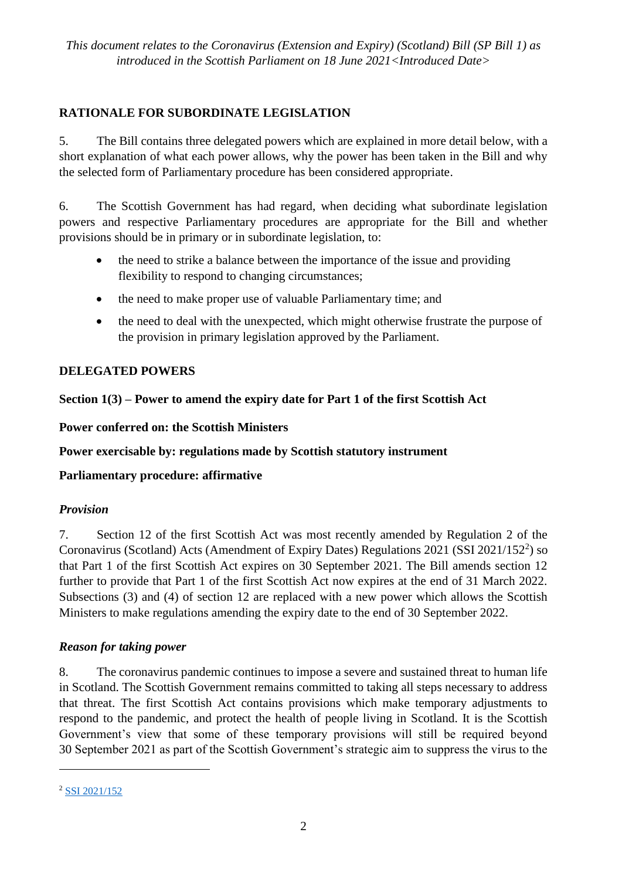# **RATIONALE FOR SUBORDINATE LEGISLATION**

5. The Bill contains three delegated powers which are explained in more detail below, with a short explanation of what each power allows, why the power has been taken in the Bill and why the selected form of Parliamentary procedure has been considered appropriate.

6. The Scottish Government has had regard, when deciding what subordinate legislation powers and respective Parliamentary procedures are appropriate for the Bill and whether provisions should be in primary or in subordinate legislation, to:

- the need to strike a balance between the importance of the issue and providing flexibility to respond to changing circumstances;
- the need to make proper use of valuable Parliamentary time; and
- the need to deal with the unexpected, which might otherwise frustrate the purpose of the provision in primary legislation approved by the Parliament.

# **DELEGATED POWERS**

# **Section 1(3) – Power to amend the expiry date for Part 1 of the first Scottish Act**

**Power conferred on: the Scottish Ministers** 

**Power exercisable by: regulations made by Scottish statutory instrument** 

**Parliamentary procedure: affirmative** 

# *Provision*

7. Section 12 of the first Scottish Act was most recently amended by Regulation 2 of the Coronavirus (Scotland) Acts (Amendment of Expiry Dates) Regulations 2021 (SSI 2021/152<sup>2</sup>) so that Part 1 of the first Scottish Act expires on 30 September 2021. The Bill amends section 12 further to provide that Part 1 of the first Scottish Act now expires at the end of 31 March 2022. Subsections (3) and (4) of section 12 are replaced with a new power which allows the Scottish Ministers to make regulations amending the expiry date to the end of 30 September 2022.

# *Reason for taking power*

8. The coronavirus pandemic continues to impose a severe and sustained threat to human life in Scotland. The Scottish Government remains committed to taking all steps necessary to address that threat. The first Scottish Act contains provisions which make temporary adjustments to respond to the pandemic, and protect the health of people living in Scotland. It is the Scottish Government's view that some of these temporary provisions will still be required beyond 30 September 2021 as part of the Scottish Government's strategic aim to suppress the virus to the

1

<sup>2</sup> [SSI 2021/152](https://www.legislation.gov.uk/ssi/2021/152/signature/made)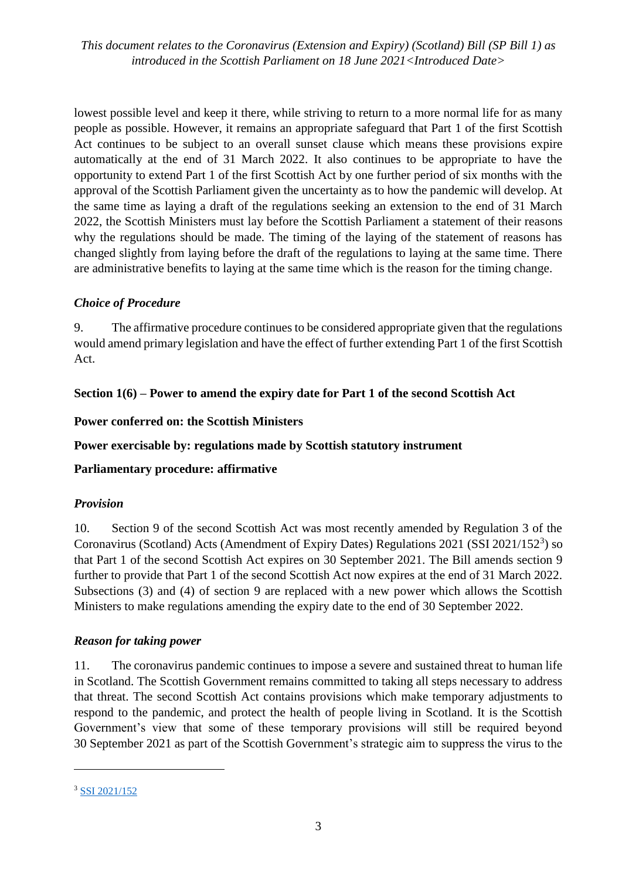*This document relates to the Coronavirus (Extension and Expiry) (Scotland) Bill (SP Bill 1) as introduced in the Scottish Parliament on 18 June 2021<Introduced Date>*

lowest possible level and keep it there, while striving to return to a more normal life for as many people as possible. However, it remains an appropriate safeguard that Part 1 of the first Scottish Act continues to be subject to an overall sunset clause which means these provisions expire automatically at the end of 31 March 2022. It also continues to be appropriate to have the opportunity to extend Part 1 of the first Scottish Act by one further period of six months with the approval of the Scottish Parliament given the uncertainty as to how the pandemic will develop. At the same time as laying a draft of the regulations seeking an extension to the end of 31 March 2022, the Scottish Ministers must lay before the Scottish Parliament a statement of their reasons why the regulations should be made. The timing of the laying of the statement of reasons has changed slightly from laying before the draft of the regulations to laying at the same time. There are administrative benefits to laying at the same time which is the reason for the timing change.

## *Choice of Procedure*

9. The affirmative procedure continues to be considered appropriate given that the regulations would amend primary legislation and have the effect of further extending Part 1 of the first Scottish Act.

## **Section 1(6) – Power to amend the expiry date for Part 1 of the second Scottish Act**

#### **Power conferred on: the Scottish Ministers**

### **Power exercisable by: regulations made by Scottish statutory instrument**

# **Parliamentary procedure: affirmative**

#### *Provision*

10. Section 9 of the second Scottish Act was most recently amended by Regulation 3 of the Coronavirus (Scotland) Acts (Amendment of Expiry Dates) Regulations 2021 (SSI 2021/152<sup>3</sup>) so that Part 1 of the second Scottish Act expires on 30 September 2021. The Bill amends section 9 further to provide that Part 1 of the second Scottish Act now expires at the end of 31 March 2022. Subsections (3) and (4) of section 9 are replaced with a new power which allows the Scottish Ministers to make regulations amending the expiry date to the end of 30 September 2022.

#### *Reason for taking power*

11. The coronavirus pandemic continues to impose a severe and sustained threat to human life in Scotland. The Scottish Government remains committed to taking all steps necessary to address that threat. The second Scottish Act contains provisions which make temporary adjustments to respond to the pandemic, and protect the health of people living in Scotland. It is the Scottish Government's view that some of these temporary provisions will still be required beyond 30 September 2021 as part of the Scottish Government's strategic aim to suppress the virus to the

 $\overline{a}$ 

<sup>3</sup> [SSI 2021/152](https://www.legislation.gov.uk/ssi/2021/152/signature/made)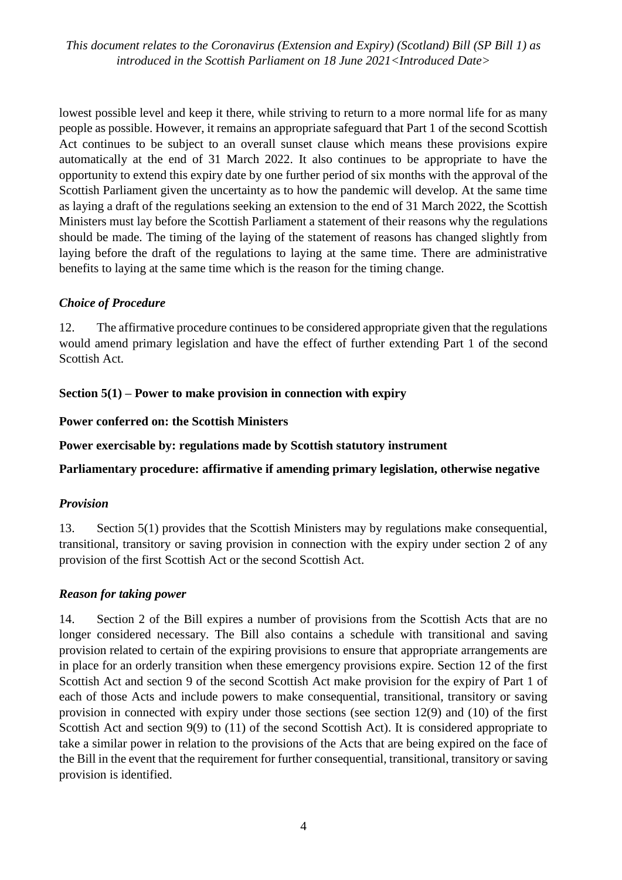*This document relates to the Coronavirus (Extension and Expiry) (Scotland) Bill (SP Bill 1) as introduced in the Scottish Parliament on 18 June 2021<Introduced Date>*

lowest possible level and keep it there, while striving to return to a more normal life for as many people as possible. However, it remains an appropriate safeguard that Part 1 of the second Scottish Act continues to be subject to an overall sunset clause which means these provisions expire automatically at the end of 31 March 2022. It also continues to be appropriate to have the opportunity to extend this expiry date by one further period of six months with the approval of the Scottish Parliament given the uncertainty as to how the pandemic will develop. At the same time as laying a draft of the regulations seeking an extension to the end of 31 March 2022, the Scottish Ministers must lay before the Scottish Parliament a statement of their reasons why the regulations should be made. The timing of the laying of the statement of reasons has changed slightly from laying before the draft of the regulations to laying at the same time. There are administrative benefits to laying at the same time which is the reason for the timing change.

#### *Choice of Procedure*

12. The affirmative procedure continues to be considered appropriate given that the regulations would amend primary legislation and have the effect of further extending Part 1 of the second Scottish Act.

## **Section 5(1) – Power to make provision in connection with expiry**

#### **Power conferred on: the Scottish Ministers**

**Power exercisable by: regulations made by Scottish statutory instrument** 

**Parliamentary procedure: affirmative if amending primary legislation, otherwise negative** 

#### *Provision*

13. Section 5(1) provides that the Scottish Ministers may by regulations make consequential, transitional, transitory or saving provision in connection with the expiry under section 2 of any provision of the first Scottish Act or the second Scottish Act.

#### *Reason for taking power*

14. Section 2 of the Bill expires a number of provisions from the Scottish Acts that are no longer considered necessary. The Bill also contains a schedule with transitional and saving provision related to certain of the expiring provisions to ensure that appropriate arrangements are in place for an orderly transition when these emergency provisions expire. Section 12 of the first Scottish Act and section 9 of the second Scottish Act make provision for the expiry of Part 1 of each of those Acts and include powers to make consequential, transitional, transitory or saving provision in connected with expiry under those sections (see section  $12(9)$  and  $(10)$  of the first Scottish Act and section 9(9) to (11) of the second Scottish Act). It is considered appropriate to take a similar power in relation to the provisions of the Acts that are being expired on the face of the Bill in the event that the requirement for further consequential, transitional, transitory or saving provision is identified.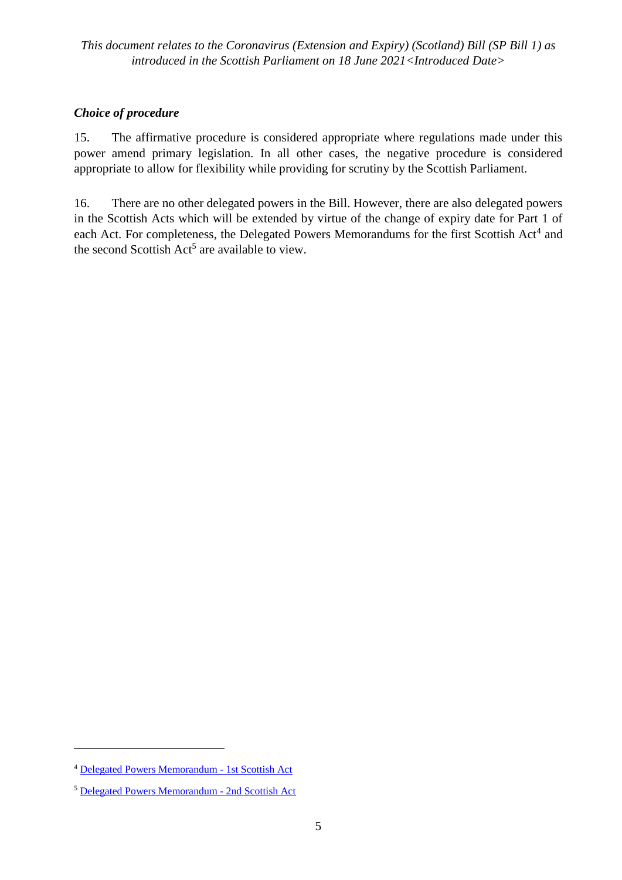# *Choice of procedure*

15. The affirmative procedure is considered appropriate where regulations made under this power amend primary legislation. In all other cases, the negative procedure is considered appropriate to allow for flexibility while providing for scrutiny by the Scottish Parliament.

16. There are no other delegated powers in the Bill. However, there are also delegated powers in the Scottish Acts which will be extended by virtue of the change of expiry date for Part 1 of each Act. For completeness, the Delegated Powers Memorandums for the first Scottish Act<sup>4</sup> and the second Scottish Act<sup>5</sup> are available to view.

 $\overline{\phantom{a}}$ 

<sup>4</sup> [Delegated Powers Memorandum -](https://www.parliament.scot/-/media/files/legislation/bills/current-bills/coronavirus-scotland-bill/introduced/delegated-powers-memorandum-coronavirus-scotland-bill.pdf) 1st Scottish Act

<sup>5</sup> [Delegated Powers Memorandum -](https://www.parliament.scot/-/media/files/legislation/bills/current-bills/coronavirus-scotland-no2-bill/introduced/delegated-powers-memorandum-coronavirus-scotland-no2-bill.pdf) 2nd Scottish Act